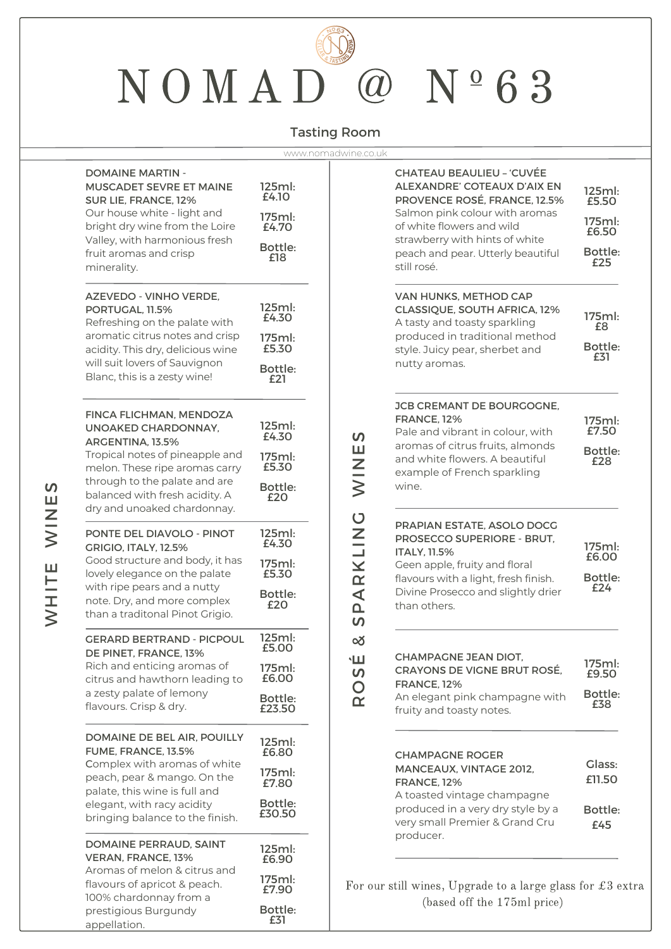# NOMAD<sup>@</sup> Nº63

### Tasting Room

| <b>DOMAINE MARTIN -</b><br><b>MUSCADET SEVRE ET MAINE</b><br>SUR LIE, FRANCE, 12%<br>Our house white - light and<br>bright dry wine from the Loire<br>Valley, with harmonious fresh<br>fruit aromas and crisp<br>minerality.         | 125ml:<br>£4.10<br>175ml:<br>£4.70<br><b>Bottle:</b><br>£18 |
|--------------------------------------------------------------------------------------------------------------------------------------------------------------------------------------------------------------------------------------|-------------------------------------------------------------|
| <b>AZEVEDO - VINHO VERDE,</b><br>PORTUGAL, 11.5%<br>Refreshing on the palate with<br>aromatic citrus notes and crisp<br>acidity. This dry, delicious wine<br>will suit lovers of Sauvignon<br>Blanc, this is a zesty wine!           | 125ml:<br>£4.30<br>175ml:<br>£5.30<br>Bottle:<br>£21        |
| <b>FINCA FLICHMAN, MENDOZA</b><br>UNOAKED CHARDONNAY.<br>ARGENTINA, 13.5%<br>Tropical notes of pineapple and                                                                                                                         | 125ml:<br>£4.30<br>175ml:                                   |
| melon. These ripe aromas carry<br>through to the palate and are<br>balanced with fresh acidity. A<br>dry and unoaked chardonnay.                                                                                                     | £5.30<br>Bottle:<br>£20                                     |
| <b>PONTE DEL DIAVOLO - PINOT</b><br><b>GRIGIO, ITALY, 12.5%</b><br>Good structure and body, it has<br>lovely elegance on the palate<br>with ripe pears and a nutty<br>note. Dry, and more complex<br>than a traditonal Pinot Grigio. | 125ml:<br>£4.30<br>175ml:                                   |
|                                                                                                                                                                                                                                      | £5.30<br>Bottle:<br>£20                                     |
| <b>GERARD BERTRAND - PICPOUL</b><br>DE PINET, FRANCE, 13%                                                                                                                                                                            | 125ml:<br>£5.00                                             |
| Rich and enticing aromas of<br>citrus and hawthorn leading to                                                                                                                                                                        | 175ml:<br>£6.00                                             |
| a zesty palate of lemony<br>flavours. Crisp & dry.                                                                                                                                                                                   | Bottle:<br>£23.50                                           |
| DOMAINE DE BEL AIR, POUILLY<br>FUME, FRANCE, 13.5%                                                                                                                                                                                   | 125ml:<br>£6.80                                             |
| Complex with aromas of white<br>peach, pear & mango. On the<br>palate, this wine is full and                                                                                                                                         | 175ml:<br>£7.80                                             |
| elegant, with racy acidity<br>bringing balance to the finish.                                                                                                                                                                        | Bottle:<br>£30.50                                           |
| DOMAINE PERRAUD, SAINT<br><b>VERAN, FRANCE, 13%</b>                                                                                                                                                                                  | 125ml:<br>£6.90                                             |
| Aromas of melon & citrus and<br>flavours of apricot & peach.<br>100% chardonnay from a                                                                                                                                               | 175ml:<br>£7.90                                             |
| prestigious Burgundy                                                                                                                                                                                                                 | Bottle:<br>£31                                              |

| www.nomadwine.co.uk                                                                                     |                                                                                                                                                                                                                                                             |                                                      |
|---------------------------------------------------------------------------------------------------------|-------------------------------------------------------------------------------------------------------------------------------------------------------------------------------------------------------------------------------------------------------------|------------------------------------------------------|
| ml:<br>O<br>ml:<br>70<br>tle:<br>8                                                                      | <b>CHATEAU BEAULIEU - 'CUVÉE</b><br><b>ALEXANDRE' COTEAUX D'AIX EN</b><br>PROVENCE ROSÉ, FRANCE, 12.5%<br>Salmon pink colour with aromas<br>of white flowers and wild<br>strawberry with hints of white<br>peach and pear. Utterly beautiful<br>still rosé. | 125ml:<br>£5.50<br>175ml:<br>£6.50<br>Bottle:<br>£25 |
| ml:<br>30<br>ml:<br>30<br>tle:                                                                          | VAN HUNKS, METHOD CAP<br><b>CLASSIQUE, SOUTH AFRICA, 12%</b><br>A tasty and toasty sparkling<br>produced in traditional method<br>style. Juicy pear, sherbet and<br>nutty aromas.                                                                           | 175ml:<br>£8<br>Bottle:<br>£31                       |
| ml:<br>30<br>S<br>Ш<br>ml:<br>$\overline{z}$<br>30<br>tle:<br>O                                         | JCB CREMANT DE BOURGOGNE.<br><b>FRANCE. 12%</b><br>Pale and vibrant in colour, with<br>aromas of citrus fruits, almonds<br>and white flowers. A beautiful<br>example of French sparkling<br>wine.                                                           | 175ml:<br>£7.50<br>Bottle:<br>£28                    |
| ARKLING<br>ml:<br>30<br>ml:<br>30<br>tle:<br>O<br>$\mathbf{a}$<br>S                                     | PRAPIAN ESTATE, ASOLO DOCG<br><b>PROSECCO SUPERIORE - BRUT.</b><br>ITALY, 11.5%<br>Geen apple, fruity and floral<br>flavours with a light, fresh finish.<br>Divine Prosecco and slightly drier<br>than others.                                              | 175ml:<br>£6.00<br>Bottle:<br>£24                    |
| ml:<br>య<br>OC<br>É<br>ml:<br>$\boldsymbol{\mathsf{S}}$<br>OC<br>$\mathsf{O}$<br>tle:<br>$\alpha$<br>50 | <b>CHAMPAGNE JEAN DIOT,</b><br><b>CRAYONS DE VIGNE BRUT ROSÉ,</b><br><b>FRANCE, 12%</b><br>An elegant pink champagne with<br>fruity and toasty notes.                                                                                                       | 175ml:<br>£9.50<br>Bottle:<br>£38                    |
| ml:<br>30<br>ml:<br>30<br>tle:<br>50                                                                    | <b>CHAMPAGNE ROGER</b><br><b>MANCEAUX, VINTAGE 2012,</b><br><b>FRANCE, 12%</b><br>A toasted vintage champagne<br>produced in a very dry style by a<br>very small Premier & Grand Cru<br>producer.                                                           | <b>Glass:</b><br>£11.50<br>Bottle:<br>£45            |
| ml:<br>90<br>ml:<br>90                                                                                  | For our still wines, Upgrade to a large glass for $\pounds 3$ extra                                                                                                                                                                                         |                                                      |

(based off the 175ml price)

appellation.